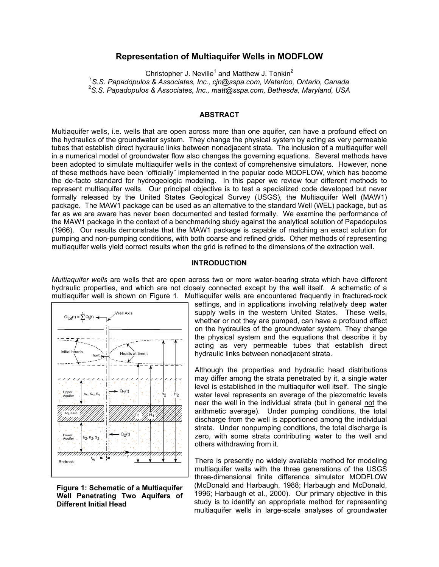# **Representation of Multiaquifer Wells in MODFLOW**

Christopher J. Neville<sup>1</sup> and Matthew J. Tonkin<sup>2</sup>

1 *S.S. Papadopulos & Associates, Inc., cjn@sspa.com, Waterloo, Ontario, Canada* 

2 *S.S. Papadopulos & Associates, Inc., matt@sspa.com, Bethesda, Maryland, USA*

### **ABSTRACT**

Multiaquifer wells, i.e. wells that are open across more than one aquifer, can have a profound effect on the hydraulics of the groundwater system. They change the physical system by acting as very permeable tubes that establish direct hydraulic links between nonadjacent strata. The inclusion of a multiaquifer well in a numerical model of groundwater flow also changes the governing equations. Several methods have been adopted to simulate multiaquifer wells in the context of comprehensive simulators. However, none of these methods have been "officially" implemented in the popular code MODFLOW, which has become the de-facto standard for hydrogeologic modeling. In this paper we review four different methods to represent multiaquifer wells. Our principal objective is to test a specialized code developed but never formally released by the United States Geological Survey (USGS), the Multiaquifer Well (MAW1) package. The MAW1 package can be used as an alternative to the standard Well (WEL) package, but as far as we are aware has never been documented and tested formally. We examine the performance of the MAW1 package in the context of a benchmarking study against the analytical solution of Papadopulos (1966). Our results demonstrate that the MAW1 package is capable of matching an exact solution for pumping and non-pumping conditions, with both coarse and refined grids. Other methods of representing multiaquifer wells yield correct results when the grid is refined to the dimensions of the extraction well.

# **INTRODUCTION**

*Multiaquifer wells* are wells that are open across two or more water-bearing strata which have different hydraulic properties, and which are not closely connected except by the well itself. A schematic of a multiaquifer well is shown on Figure 1. Multiaquifer wells are encountered frequently in fractured-rock



**Figure 1: Schematic of a Multiaquifer Well Penetrating Two Aquifers of Different Initial Head**

settings, and in applications involving relatively deep water supply wells in the western United States. These wells, whether or not they are pumped, can have a profound effect on the hydraulics of the groundwater system. They change the physical system and the equations that describe it by acting as very permeable tubes that establish direct Heads at time t included in hydraulic links between nonadjacent strata.

> Although the properties and hydraulic head distributions may differ among the strata penetrated by it, a single water level is established in the multiaquifer well itself. The single water level represents an average of the piezometric levels near the well in the individual strata (but in general not the arithmetic average). Under pumping conditions, the total discharge from the well is apportioned among the individual strata. Under nonpumping conditions, the total discharge is zero, with some strata contributing water to the well and others withdrawing from it.

> There is presently no widely available method for modeling multiaquifer wells with the three generations of the USGS three-dimensional finite difference simulator MODFLOW (McDonald and Harbaugh, 1988; Harbaugh and McDonald, 1996; Harbaugh et al., 2000). Our primary objective in this study is to identify an appropriate method for representing multiaquifer wells in large-scale analyses of groundwater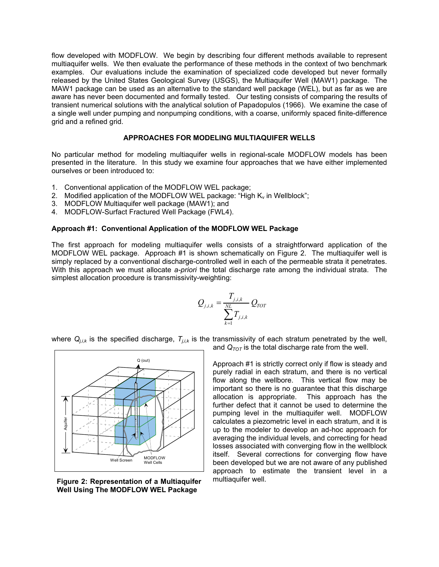flow developed with MODFLOW. We begin by describing four different methods available to represent multiaquifer wells. We then evaluate the performance of these methods in the context of two benchmark examples. Our evaluations include the examination of specialized code developed but never formally released by the United States Geological Survey (USGS), the Multiaquifer Well (MAW1) package. The MAW1 package can be used as an alternative to the standard well package (WEL), but as far as we are aware has never been documented and formally tested. Our testing consists of comparing the results of transient numerical solutions with the analytical solution of Papadopulos (1966). We examine the case of a single well under pumping and nonpumping conditions, with a coarse, uniformly spaced finite-difference grid and a refined grid.

# **APPROACHES FOR MODELING MULTIAQUIFER WELLS**

No particular method for modeling multiaquifer wells in regional-scale MODFLOW models has been presented in the literature. In this study we examine four approaches that we have either implemented ourselves or been introduced to:

- 1. Conventional application of the MODFLOW WEL package;
- 2. Modified application of the MODFLOW WEL package: "High  $K_v$  in Wellblock";
- 3. MODFLOW Multiaquifer well package (MAW1); and
- 4. MODFLOW-Surfact Fractured Well Package (FWL4).

# **Approach #1: Conventional Application of the MODFLOW WEL Package**

The first approach for modeling multiaquifer wells consists of a straightforward application of the MODFLOW WEL package. Approach #1 is shown schematically on Figure 2. The multiaquifer well is simply replaced by a conventional discharge-controlled well in each of the permeable strata it penetrates. With this approach we must allocate *a-priori* the total discharge rate among the individual strata. The simplest allocation procedure is transmissivity-weighting:

$$
Q_{j,i,k} = \frac{T_{j,i,k}}{\sum_{k=1}^{ML} T_{j,i,k}} Q_{TOT}
$$

where  $Q_{i,j,k}$  is the specified discharge,  $T_{i,j,k}$  is the transmissivity of each stratum penetrated by the well,



Figure 2: Representation of a Multiaquifer multiaquifer well. **Well Using The MODFLOW WEL Package** 

and  $Q_{TOT}$  is the total discharge rate from the well.

Approach #1 is strictly correct only if flow is steady and purely radial in each stratum, and there is no vertical flow along the wellbore. This vertical flow may be important so there is no guarantee that this discharge allocation is appropriate. This approach has the further defect that it cannot be used to determine the pumping level in the multiaquifer well. MODFLOW calculates a piezometric level in each stratum, and it is up to the modeler to develop an ad-hoc approach for averaging the individual levels, and correcting for head losses associated with converging flow in the wellblock itself. Several corrections for converging flow have been developed but we are not aware of any published approach to estimate the transient level in a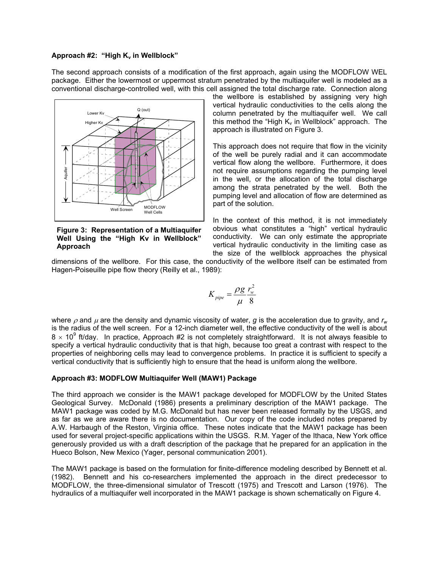### Approach #2: "High K<sub>v</sub> in Wellblock"

The second approach consists of a modification of the first approach, again using the MODFLOW WEL package. Either the lowermost or uppermost stratum penetrated by the multiaquifer well is modeled as a conventional discharge-controlled well, with this cell assigned the total discharge rate. Connection along



**Figure 3: Representation of a Multiaquifer Well Using the "High Kv in Wellblock" Approach** 

the wellbore is established by assigning very high vertical hydraulic conductivities to the cells along the column penetrated by the multiaquifer well. We call this method the "High  $K_v$  in Wellblock" approach. The approach is illustrated on Figure 3.

This approach does not require that flow in the vicinity of the well be purely radial and it can accommodate vertical flow along the wellbore. Furthermore, it does not require assumptions regarding the pumping level in the well, or the allocation of the total discharge among the strata penetrated by the well. Both the pumping level and allocation of flow are determined as part of the solution.

In the context of this method, it is not immediately obvious what constitutes a "high" vertical hydraulic conductivity. We can only estimate the appropriate vertical hydraulic conductivity in the limiting case as the size of the wellblock approaches the physical

dimensions of the wellbore. For this case, the conductivity of the wellbore itself can be estimated from Hagen-Poiseuille pipe flow theory (Reilly et al., 1989):

$$
K_{pipe} = \frac{\rho g}{\mu} \frac{r_w^2}{8}
$$

where  $\rho$  and  $\mu$  are the density and dynamic viscosity of water, *g* is the acceleration due to gravity, and  $r_w$ is the radius of the well screen. For a 12-inch diameter well, the effective conductivity of the well is about 8  $\times$  10<sup>9</sup> ft/day. In practice, Approach #2 is not completely straightforward. It is not always feasible to specify a vertical hydraulic conductivity that is that high, because too great a contrast with respect to the properties of neighboring cells may lead to convergence problems. In practice it is sufficient to specify a vertical conductivity that is sufficiently high to ensure that the head is uniform along the wellbore.

# **Approach #3: MODFLOW Multiaquifer Well (MAW1) Package**

The third approach we consider is the MAW1 package developed for MODFLOW by the United States Geological Survey. McDonald (1986) presents a preliminary description of the MAW1 package. The MAW1 package was coded by M.G. McDonald but has never been released formally by the USGS, and as far as we are aware there is no documentation. Our copy of the code included notes prepared by A.W. Harbaugh of the Reston, Virginia office. These notes indicate that the MAW1 package has been used for several project-specific applications within the USGS. R.M. Yager of the Ithaca, New York office generously provided us with a draft description of the package that he prepared for an application in the Hueco Bolson, New Mexico (Yager, personal communication 2001).

The MAW1 package is based on the formulation for finite-difference modeling described by Bennett et al. (1982). Bennett and his co-researchers implemented the approach in the direct predecessor to MODFLOW, the three-dimensional simulator of Trescott (1975) and Trescott and Larson (1976). The hydraulics of a multiaquifer well incorporated in the MAW1 package is shown schematically on Figure 4.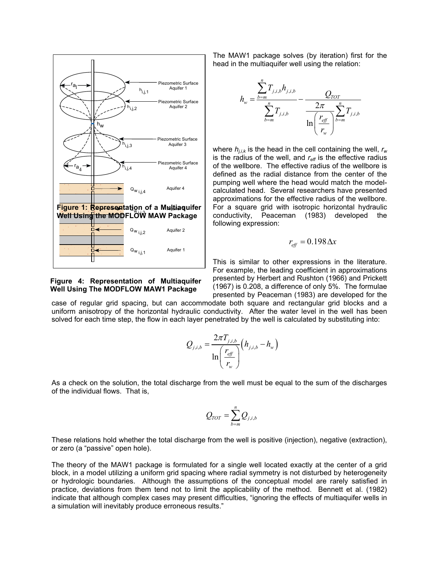

### **Figure 4: Representation of Multiaquifer Well Using The MODFLOW MAW1 Package**

The MAW1 package solves (by iteration) first for the head in the multiaquifer well using the relation:



where  $h_{i,k}$  is the head in the cell containing the well,  $r_w$ is the radius of the well, and  $r_{\text{eff}}$  is the effective radius of the wellbore. The effective radius of the wellbore is defined as the radial distance from the center of the pumping well where the head would match the modelcalculated head. Several researchers have presented approximations for the effective radius of the wellbore. For a square grid with isotropic horizontal hydraulic conductivity, Peaceman (1983) developed the following expression:

$$
r_{\text{eff}} = 0.198 \Delta x
$$

This is similar to other expressions in the literature. For example, the leading coefficient in approximations presented by Herbert and Rushton (1966) and Prickett (1967) is 0.208, a difference of only 5%. The formulae presented by Peaceman (1983) are developed for the

case of regular grid spacing, but can accommodate both square and rectangular grid blocks and a uniform anisotropy of the horizontal hydraulic conductivity. After the water level in the well has been solved for each time step, the flow in each layer penetrated by the well is calculated by substituting into:

$$
Q_{j,i,b} = \frac{2\pi T_{j,i,b}}{\ln\left(\frac{r_{\text{eff}}}{r_w}\right)} \left(h_{j,i,b} - h_w\right)
$$

As a check on the solution, the total discharge from the well must be equal to the sum of the discharges of the individual flows. That is,

$$
Q_{TOT} = \sum_{b=m}^{n} Q_{j,i,b}
$$

These relations hold whether the total discharge from the well is positive (injection), negative (extraction), or zero (a "passive" open hole).

The theory of the MAW1 package is formulated for a single well located exactly at the center of a grid block, in a model utilizing a uniform grid spacing where radial symmetry is not disturbed by heterogeneity or hydrologic boundaries. Although the assumptions of the conceptual model are rarely satisfied in practice, deviations from them tend not to limit the applicability of the method. Bennett et al. (1982) indicate that although complex cases may present difficulties, "ignoring the effects of multiaquifer wells in a simulation will inevitably produce erroneous results."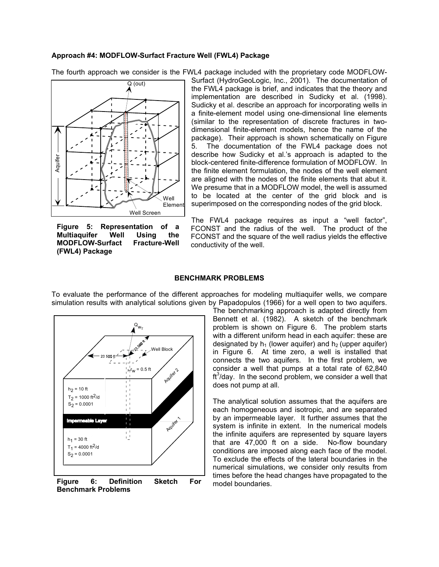### **Approach #4: MODFLOW-Surfact Fracture Well (FWL4) Package**





**Figure 5: Representation of a Multiaquifer Well Using the MODFLOW-Surfact Fracture-Well (FWL4) Package** 

Surfact (HydroGeoLogic, Inc., 2001). The documentation of the FWL4 package is brief, and indicates that the theory and implementation are described in Sudicky et al. (1998). Sudicky et al. describe an approach for incorporating wells in a finite-element model using one-dimensional line elements (similar to the representation of discrete fractures in twodimensional finite-element models, hence the name of the package). Their approach is shown schematically on Figure 5. The documentation of the FWL4 package does not describe how Sudicky et al.'s approach is adapted to the block-centered finite-difference formulation of MODFLOW. In the finite element formulation, the nodes of the well element are aligned with the nodes of the finite elements that abut it. We presume that in a MODFLOW model, the well is assumed to be located at the center of the grid block and is superimposed on the corresponding nodes of the grid block.

The FWL4 package requires as input a "well factor", FCONST and the radius of the well. The product of the FCONST and the square of the well radius yields the effective conductivity of the well.

#### **BENCHMARK PROBLEMS**

To evaluate the performance of the different approaches for modeling multiaquifer wells, we compare simulation results with analytical solutions given by Papadopulos (1966) for a well open to two aquifers.



**Figure 6: Definition Sketch For** model boundaries. **Benchmark Problems** 

The benchmarking approach is adapted directly from Bennett et al. (1982). A sketch of the benchmark problem is shown on Figure 6. The problem starts with a different uniform head in each aquifer: these are designated by  $h_1$  (lower aquifer) and  $h_2$  (upper aquifer) in Figure 6. At time zero, a well is installed that connects the two aquifers. In the first problem, we consider a well that pumps at a total rate of 62,840  $ft<sup>3</sup>/day$ . In the second problem, we consider a well that does not pump at all.

The analytical solution assumes that the aquifers are each homogeneous and isotropic, and are separated by an impermeable layer. It further assumes that the system is infinite in extent. In the numerical models the infinite aquifers are represented by square layers that are 47,000 ft on a side. No-flow boundary conditions are imposed along each face of the model. To exclude the effects of the lateral boundaries in the numerical simulations, we consider only results from times before the head changes have propagated to the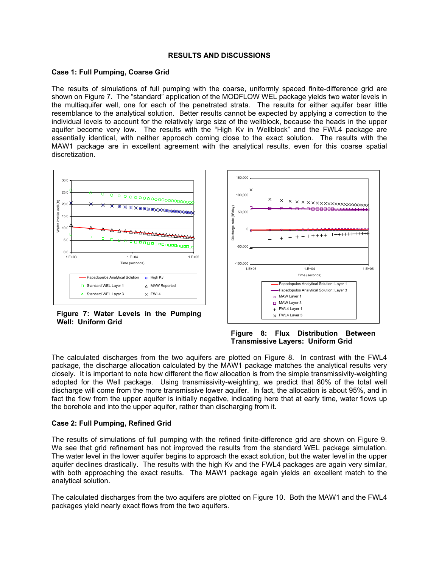# **RESULTS AND DISCUSSIONS**

# **Case 1: Full Pumping, Coarse Grid**

The results of simulations of full pumping with the coarse, uniformly spaced finite-difference grid are shown on Figure 7. The "standard" application of the MODFLOW WEL package yields two water levels in the multiaquifer well, one for each of the penetrated strata. The results for either aquifer bear little resemblance to the analytical solution. Better results cannot be expected by applying a correction to the individual levels to account for the relatively large size of the wellblock, because the heads in the upper aquifer become very low. The results with the "High Kv in Wellblock" and the FWL4 package are essentially identical, with neither approach coming close to the exact solution. The results with the MAW1 package are in excellent agreement with the analytical results, even for this coarse spatial discretization.



**Figure 7: Water Levels in the Pumping Well: Uniform Grid** 



**Figure 8: Flux Distribution Between Transmissive Layers: Uniform Grid** 

The calculated discharges from the two aquifers are plotted on Figure 8. In contrast with the FWL4 package, the discharge allocation calculated by the MAW1 package matches the analytical results very closely. It is important to note how different the flow allocation is from the simple transmissivity-weighting adopted for the Well package. Using transmissivity-weighting, we predict that 80% of the total well discharge will come from the more transmissive lower aquifer. In fact, the allocation is about 95%, and in fact the flow from the upper aquifer is initially negative, indicating here that at early time, water flows up the borehole and into the upper aquifer, rather than discharging from it.

# **Case 2: Full Pumping, Refined Grid**

The results of simulations of full pumping with the refined finite-difference grid are shown on Figure 9. We see that grid refinement has not improved the results from the standard WEL package simulation. The water level in the lower aquifer begins to approach the exact solution, but the water level in the upper aquifer declines drastically. The results with the high Kv and the FWL4 packages are again very similar, with both approaching the exact results. The MAW1 package again yields an excellent match to the analytical solution.

The calculated discharges from the two aquifers are plotted on Figure 10. Both the MAW1 and the FWL4 packages yield nearly exact flows from the two aquifers.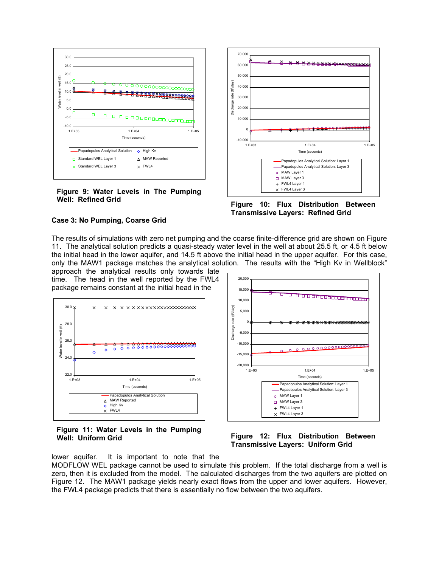

# **Figure 9: Water Levels in The Pumping** Well: Refined Grid **Figure 10: Flux Distribution Between**



**Transmissive Layers: Refined Grid** 

### **Case 3: No Pumping, Coarse Grid**

The results of simulations with zero net pumping and the coarse finite-difference grid are shown on Figure 11. The analytical solution predicts a quasi-steady water level in the well at about 25.5 ft, or 4.5 ft below the initial head in the lower aquifer, and 14.5 ft above the initial head in the upper aquifer. For this case, only the MAW1 package matches the analytical solution. The results with the "High Kv in Wellblock"

approach the analytical results only towards late time. The head in the well reported by the FWL4 package remains constant at the initial head in the



**Figure 11: Water Levels in the Pumping**



Well: Uniform Grid **Figure 12: Flux Distribution Between Transmissive Layers: Uniform Grid** 

lower aquifer. It is important to note that the

MODFLOW WEL package cannot be used to simulate this problem. If the total discharge from a well is zero, then it is excluded from the model. The calculated discharges from the two aquifers are plotted on Figure 12. The MAW1 package yields nearly exact flows from the upper and lower aquifers. However, the FWL4 package predicts that there is essentially no flow between the two aquifers.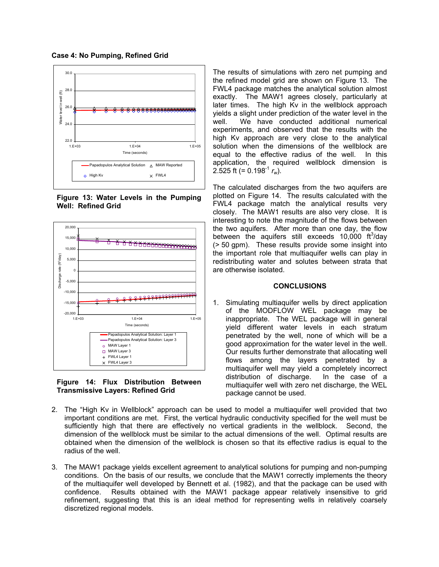



**Figure 13: Water Levels in the Pumping Well: Refined Grid** 



**Figure 14: Flux Distribution Between Transmissive Layers: Refined Grid** 

The results of simulations with zero net pumping and the refined model grid are shown on Figure 13. The FWL4 package matches the analytical solution almost exactly. The MAW1 agrees closely, particularly at later times. The high Kv in the wellblock approach yields a slight under prediction of the water level in the well. We have conducted additional numerical experiments, and observed that the results with the high Kv approach are very close to the analytical solution when the dimensions of the wellblock are equal to the effective radius of the well. In this application, the required wellblock dimension is 2.525 ft (=  $0.198^{-1} r_w$ ).

The calculated discharges from the two aquifers are plotted on Figure 14. The results calculated with the FWL4 package match the analytical results very closely. The MAW1 results are also very close. It is interesting to note the magnitude of the flows between the two aquifers. After more than one day, the flow between the aquifers still exceeds  $10,000$  ft<sup>3</sup>/day (> 50 gpm). These results provide some insight into the important role that multiaquifer wells can play in redistributing water and solutes between strata that are otherwise isolated.

### **CONCLUSIONS**

- 1. Simulating multiaquifer wells by direct application of the MODFLOW WEL package may be inappropriate. The WEL package will in general yield different water levels in each stratum penetrated by the well, none of which will be a good approximation for the water level in the well. Our results further demonstrate that allocating well flows among the layers penetrated by a multiaquifer well may yield a completely incorrect distribution of discharge. In the case of a multiaquifer well with zero net discharge, the WEL package cannot be used.
- 2. The "High Kv in Wellblock" approach can be used to model a multiaquifer well provided that two important conditions are met. First, the vertical hydraulic conductivity specified for the well must be sufficiently high that there are effectively no vertical gradients in the wellblock. Second, the dimension of the wellblock must be similar to the actual dimensions of the well. Optimal results are obtained when the dimension of the wellblock is chosen so that its effective radius is equal to the radius of the well.
- 3. The MAW1 package yields excellent agreement to analytical solutions for pumping and non-pumping conditions. On the basis of our results, we conclude that the MAW1 correctly implements the theory of the multiaquifer well developed by Bennett et al. (1982), and that the package can be used with confidence. Results obtained with the MAW1 package appear relatively insensitive to grid refinement, suggesting that this is an ideal method for representing wells in relatively coarsely discretized regional models.